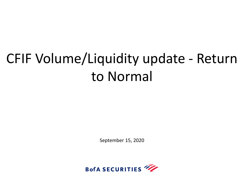# CFIF Volume/Liquidity update - Return to Normal

September 15, 2020

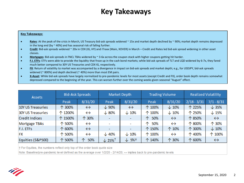### **Key Takeaways**

#### **Key Takeaways:**

- **Rates**: At the peak of the crisis in March, US Treasury bid-ask spreads widened ~ 15x and market depth declined by ~ 90%; market depth remains depressed in the long end (by  $\approx$  40%) and has seasonal risk of falling further.
- **Credit**: Bid-ask spreads widened ~ 20x in CDX (IG, HY) and iTraxx (Main, XOVER) in March Credit and Rates led bid-ask spread widening in other asset classes.
- **Mortgages**: Bid-ask spreads in FNCL TBAs widened by ~ 3-6x across the coupon stack with higher coupons getting hit harder.
- **F.I. ETFs**: ETFs were able to provide the liquidity that froze up in the cash bond markets; while bid-ask spreads of TLT and LQD widened by 6-7x, they fared much better compared to 30Y US Treasuries and CDX IG, respectively.
- **FX**: Return of volatility to market was accompanied by a divergence in impact on bid-ask spreads and market depth; e.g., for USDJPY, bid-ask spreads widened ( $\approx$  800%) and depth declined ( $\approx$  40%) more than most EM pairs.
- **X-Asset**: While bid-ask spreads have largely normalized to pre-pandemic levels for most assets (except Credit and FX), order book depth remains somewhat depressed compared to the beginning of the year. This can worsen further over the coming weeks given seasonal "August" effect.

| <b>Assets</b>            | <b>Bid-Ask Spreads</b> |                   | Market Depth               |                   | <b>Trading Volume</b> |                   | <b>Realized Volatility</b> |                   |
|--------------------------|------------------------|-------------------|----------------------------|-------------------|-----------------------|-------------------|----------------------------|-------------------|
|                          | Peak                   | 8/31/20           | Peak                       | 8/31/20           | Peak                  | 8/31/20           | $2/18 - 3/31$              | $7/1 - 8/31$      |
| 10Y US Treasuries        | 个 300%                 | $\leftrightarrow$ | $\downarrow$ 90%           | $\leftrightarrow$ | 个 100%                | $\downarrow$ 10%  | 个 225%                     | $\downarrow$ 35%  |
| <b>30Y US Treasuries</b> | 个 1200%                | $\leftrightarrow$ | $\downarrow$ 80%           | $\downarrow$ 10%  | 个 100%                | $\downarrow$ 10%  | 个 250%                     | $\downarrow$ 15%  |
| <b>Credit Indices</b>    | 个 1500%                | 个 30%             |                            |                   | 50%<br>ᠰ              | $\leftrightarrow$ | 个 850%                     | $\leftrightarrow$ |
| Mortgage TBAs            | 个 500%                 | $\leftrightarrow$ |                            | ۰                 | 50%<br>ᠰ              | $\leftrightarrow$ | 个 800%                     | 个 30%             |
| F.I. ETFS                | 个 600%                 | $\leftrightarrow$ |                            | $\sim$            | 个 150%                | 个 10%             | 个 300%                     | $\downarrow$ 10%  |
| <b>FX</b>                | 个 500%                 | ↔                 | $\downarrow$ 40%           | $\downarrow$ 10%  | 个 100%                | ↔                 | 个 400%                     | 个 100%            |
| Equities (S&P500)        | 个 500%                 | 50%<br>ᠰ          | $\sqrt{25\%}$ <sup>t</sup> | $\downarrow$ 5% t | 个 140%                | 个 30%             | 个 600%                     | $\leftrightarrow$ |

† For Equities, the numbers reflect only top of the order book quote size

Note: Baseline/pre-pandemic level defined as the average over 1/2/20 - 2/14/20; ↔ implies back to pre-pandemic levels

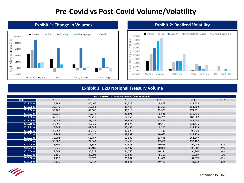## **Pre-Covid vs Post-Covid Volume/Volatility**



#### **Exhibit 1: Change in Volumes Exhibit 2: Realized Volatility**



#### **Exhibit 3: D2D Notional Treasury Volume**

| <b>BTEC + ESPEED + DW Daily Volume (MM Notional)</b> |        |           |            |        |         |            |  |  |  |  |  |  |  |
|------------------------------------------------------|--------|-----------|------------|--------|---------|------------|--|--|--|--|--|--|--|
| <b>Date</b>                                          | 2Y     | <b>5Y</b> | <b>10Y</b> | 30Y    | Total   | <b>YOY</b> |  |  |  |  |  |  |  |
| 2019.04m                                             | 24,863 | 45,466    | 41,328     | 9,878  | 121,534 |            |  |  |  |  |  |  |  |
| 2019.05m                                             | 32,640 | 59,263    | 48,440     | 11,359 | 151,702 |            |  |  |  |  |  |  |  |
| 2019.06m                                             | 39,486 | 69,586    | 49,318     | 13,531 | 171,921 |            |  |  |  |  |  |  |  |
| 2019.07m                                             | 29,220 | 52,075    | 39,591     | 9,845  | 130,731 |            |  |  |  |  |  |  |  |
| 2019.08m                                             | 37,876 | 72,725    | 57,755     | 14,731 | 183,087 |            |  |  |  |  |  |  |  |
| 2019.09m                                             | 31,436 | 53,436    | 48,633     | 11,498 | 145,003 |            |  |  |  |  |  |  |  |
| 2019.10m                                             | 28,851 | 47,629    | 44,674     | 10,283 | 131,436 |            |  |  |  |  |  |  |  |
| 2019.11m                                             | 23,348 | 41,088    | 37,483     | 9,210  | 111,128 |            |  |  |  |  |  |  |  |
| 2019.12m                                             | 20,252 | 36,915    | 32,023     | 7,732  | 96,923  |            |  |  |  |  |  |  |  |
| 2020.01m                                             | 22,144 | 44,420    | 39,982     | 10,687 | 117,233 |            |  |  |  |  |  |  |  |
| 2020.02m                                             | 30,904 | 63,767    | 52,933     | 13,645 | 161,249 |            |  |  |  |  |  |  |  |
| 2020.03m                                             | 38,388 | 72,843    | 63,468     | 17,408 | 192,107 |            |  |  |  |  |  |  |  |
| 2020.04m                                             | 18,109 | 36,352    | 32,333     | 10,663 | 97,457  | $-20%$     |  |  |  |  |  |  |  |
| 2020.05m                                             | 15,626 | 35,405    | 32,537     | 10,020 | 93,587  | $-38%$     |  |  |  |  |  |  |  |
| 2020.06m                                             | 13,663 | 36,717    | 34,260     | 10,221 | 94,861  | $-45%$     |  |  |  |  |  |  |  |
| 2020.07m                                             | 9,151  | 23,704    | 21,828     | 8,305  | 62,987  | $-52%$     |  |  |  |  |  |  |  |
| 2020.08m                                             | 11,797 | 29,570    | 30,002     | 11,608 | 82,977  | $-55%$     |  |  |  |  |  |  |  |
| 2020.09m                                             | 9,671  | 32,417    | 35,583     | 10,442 | 88,113  | $-39%$     |  |  |  |  |  |  |  |

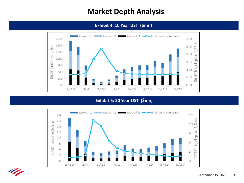### **Market Depth Analysis**

**Exhibit 4: 10 Year UST (\$mn)**



#### **Exhibit 5: 30 Year UST (\$mn)**



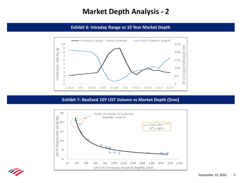### **Market Depth Analysis - 2**

**Exhibit 6: Intraday Range vs 10 Year Market Depth** 



#### **Exhibit 7: Realized 10Y UST Volume vs Market Depth (\$mn)**